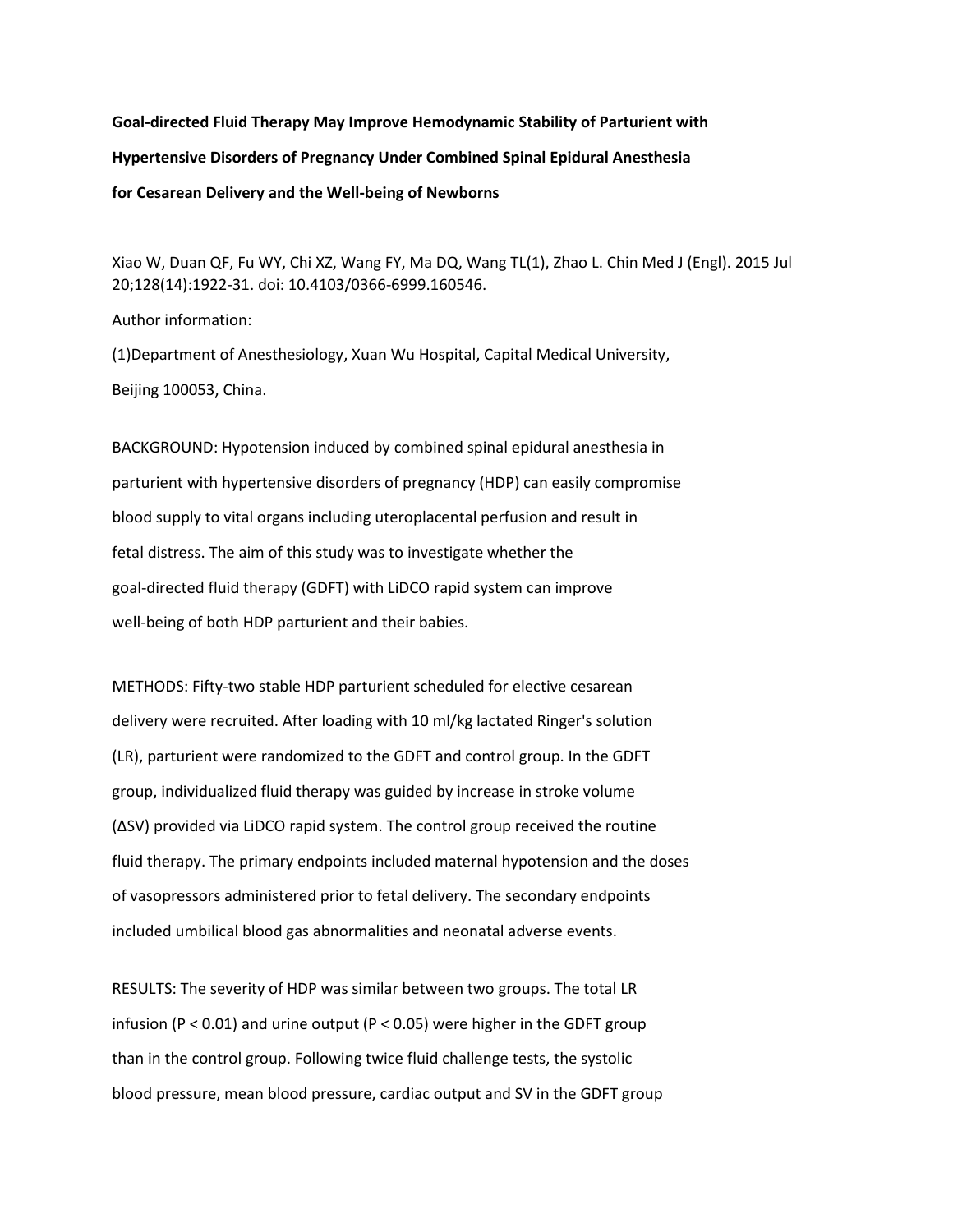**Goal-directed Fluid Therapy May Improve Hemodynamic Stability of Parturient with Hypertensive Disorders of Pregnancy Under Combined Spinal Epidural Anesthesia for Cesarean Delivery and the Well-being of Newborns**

Xiao W, Duan QF, Fu WY, Chi XZ, Wang FY, Ma DQ, Wang TL(1), Zhao L. Chin Med J (Engl). 2015 Jul 20;128(14):1922-31. doi: 10.4103/0366-6999.160546.

Author information:

(1)Department of Anesthesiology, Xuan Wu Hospital, Capital Medical University, Beijing 100053, China.

BACKGROUND: Hypotension induced by combined spinal epidural anesthesia in parturient with hypertensive disorders of pregnancy (HDP) can easily compromise blood supply to vital organs including uteroplacental perfusion and result in fetal distress. The aim of this study was to investigate whether the goal-directed fluid therapy (GDFT) with LiDCO rapid system can improve well-being of both HDP parturient and their babies.

METHODS: Fifty-two stable HDP parturient scheduled for elective cesarean delivery were recruited. After loading with 10 ml/kg lactated Ringer's solution (LR), parturient were randomized to the GDFT and control group. In the GDFT group, individualized fluid therapy was guided by increase in stroke volume (ΔSV) provided via LiDCO rapid system. The control group received the routine fluid therapy. The primary endpoints included maternal hypotension and the doses of vasopressors administered prior to fetal delivery. The secondary endpoints included umbilical blood gas abnormalities and neonatal adverse events.

RESULTS: The severity of HDP was similar between two groups. The total LR infusion (P < 0.01) and urine output (P < 0.05) were higher in the GDFT group than in the control group. Following twice fluid challenge tests, the systolic blood pressure, mean blood pressure, cardiac output and SV in the GDFT group